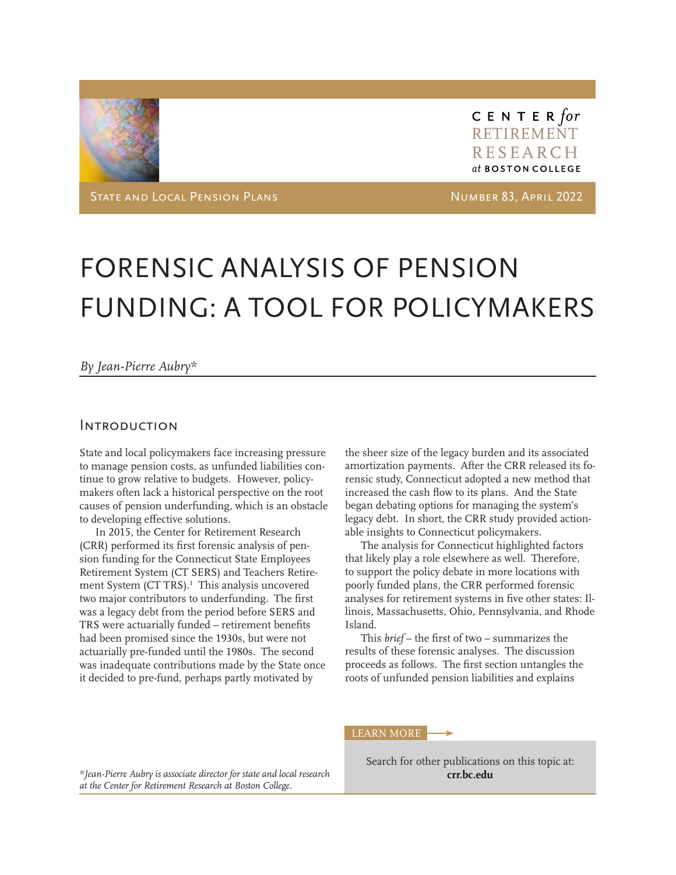

C E N T E R for RETIREMENT RESEARCH at BOSTON COLLEGE

State and Local Pension Plans Number 83, April 2022

# FORENSIC ANALYSIS OF PENSION FUNDING: A TOOL FOR POLICYMAKERS

#### *By Jean-Pierre Aubry\**

#### **INTRODUCTION**

State and local policymakers face increasing pressure to manage pension costs, as unfunded liabilities continue to grow relative to budgets. However, policymakers often lack a historical perspective on the root causes of pension underfunding, which is an obstacle to developing effective solutions.

In 2015, the Center for Retirement Research (CRR) performed its first forensic analysis of pension funding for the Connecticut State Employees Retirement System (CT SERS) and Teachers Retirement System (CT TRS). $<sup>1</sup>$  This analysis uncovered</sup> two major contributors to underfunding. The first was a legacy debt from the period before SERS and TRS were actuarially funded – retirement benefits had been promised since the 1930s, but were not actuarially pre-funded until the 1980s. The second was inadequate contributions made by the State once it decided to pre-fund, perhaps partly motivated by

the sheer size of the legacy burden and its associated amortization payments. After the CRR released its forensic study, Connecticut adopted a new method that increased the cash flow to its plans. And the State began debating options for managing the system's legacy debt. In short, the CRR study provided actionable insights to Connecticut policymakers.

The analysis for Connecticut highlighted factors that likely play a role elsewhere as well. Therefore, to support the policy debate in more locations with poorly funded plans, the CRR performed forensic analyses for retirement systems in five other states: Illinois, Massachusetts, Ohio, Pennsylvania, and Rhode Island.

This *brief* – the first of two – summarizes the results of these forensic analyses. The discussion proceeds as follows. The first section untangles the roots of unfunded pension liabilities and explains

LEARN MORE

Search for other publications on this topic at: **[crr.bc.edu](https://crr.bc.edu)**

*\*Jean-Pierre Aubry is associate director for state and local research at the Center for Retirement Research at Boston College.*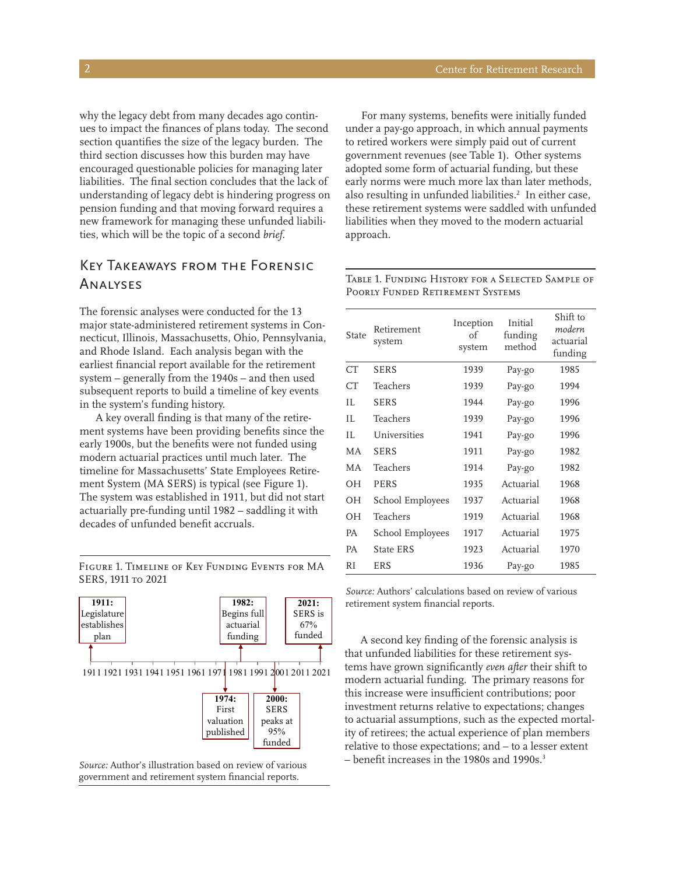why the legacy debt from many decades ago continues to impact the finances of plans today. The second section quantifies the size of the legacy burden. The third section discusses how this burden may have encouraged questionable policies for managing later liabilities. The final section concludes that the lack of understanding of legacy debt is hindering progress on pension funding and that moving forward requires a new framework for managing these unfunded liabilities, which will be the topic of a second *brief.* 

# Key Takeaways from the Forensic Analyses

The forensic analyses were conducted for the 13 major state-administered retirement systems in Connecticut, Illinois, Massachusetts, Ohio, Pennsylvania, and Rhode Island. Each analysis began with the earliest financial report available for the retirement system – generally from the 1940s – and then used subsequent reports to build a timeline of key events in the system's funding history.

A key overall finding is that many of the retirement systems have been providing benefits since the early 1900s, but the benefits were not funded using modern actuarial practices until much later. The timeline for Massachusetts' State Employees Retirement System (MA SERS) is typical (see Figure 1). The system was established in 1911, but did not start actuarially pre-funding until 1982 – saddling it with decades of unfunded benefit accruals.

1911 1921 1931 1941 1951 1961 1971 1981 1991 2001 2011 2021 **1911:**  Legislature establishes plan **2000: 1982:** Begins full actuarial funding **2021:** SERS is 67% funded

Figure 1. Timeline of Key Funding Events for MA

SERS, 1911 to 2021

**1974:**  First valuation published

SERS peaks at 95% funded

*Source:* Author's illustration based on review of various government and retirement system financial reports.

For many systems, benefits were initially funded under a pay-go approach, in which annual payments to retired workers were simply paid out of current government revenues (see Table 1). Other systems adopted some form of actuarial funding, but these early norms were much more lax than later methods, also resulting in unfunded liabilities.<sup>2</sup> In either case, these retirement systems were saddled with unfunded liabilities when they moved to the modern actuarial approach.

| State | Retirement<br>system | Inception<br>of<br>system | Initial<br>funding<br>method | Shift to<br>modern<br>actuarial<br>funding |
|-------|----------------------|---------------------------|------------------------------|--------------------------------------------|
| CT    | <b>SERS</b>          | 1939                      | Pay-go                       | 1985                                       |
| CT    | Teachers             | 1939                      | Pay-go                       | 1994                                       |
| H.    | <b>SERS</b>          | 1944                      | Pay-go                       | 1996                                       |
| H.    | Teachers             | 1939                      | Pay-go                       | 1996                                       |
| H.    | Universities         | 1941                      | Pay-go                       | 1996                                       |
| МA    | <b>SERS</b>          | 1911                      | Pay-go                       | 1982                                       |
| МA    | Teachers             | 1914                      | Pay-go                       | 1982                                       |
| OН    | PERS                 | 1935                      | Actuarial                    | 1968                                       |
| OН    | School Employees     | 1937                      | Actuarial                    | 1968                                       |
| OН    | Teachers             | 1919                      | Actuarial                    | 1968                                       |
| РA    | School Employees     | 1917                      | Actuarial                    | 1975                                       |
| РA    | State ERS            | 1923                      | Actuarial                    | 1970                                       |
| RI    | ERS                  | 1936                      | Pay-go                       | 1985                                       |

Table 1. Funding History for a Selected Sample of Poorly Funded Retirement Systems

*Source:* Authors' calculations based on review of various retirement system financial reports.

A second key finding of the forensic analysis is that unfunded liabilities for these retirement systems have grown significantly *even after* their shift to modern actuarial funding. The primary reasons for this increase were insufficient contributions; poor investment returns relative to expectations; changes to actuarial assumptions, such as the expected mortality of retirees; the actual experience of plan members relative to those expectations; and – to a lesser extent – benefit increases in the 1980s and 1990s.<sup>3</sup>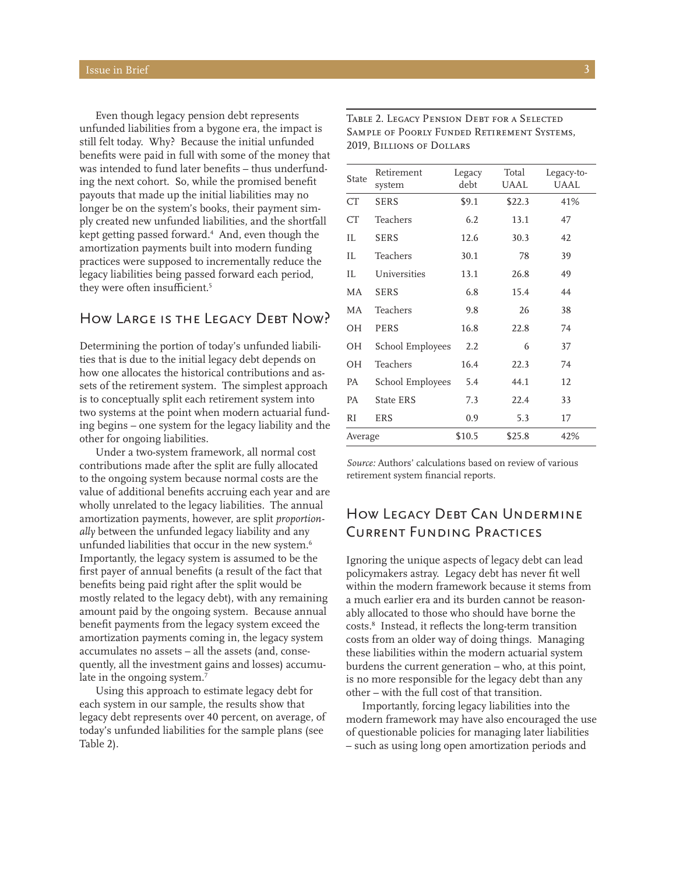Even though legacy pension debt represents unfunded liabilities from a bygone era, the impact is still felt today. Why? Because the initial unfunded benefits were paid in full with some of the money that was intended to fund later benefits – thus underfunding the next cohort. So, while the promised benefit payouts that made up the initial liabilities may no longer be on the system's books, their payment simply created new unfunded liabilities, and the shortfall kept getting passed forward.4 And, even though the amortization payments built into modern funding practices were supposed to incrementally reduce the legacy liabilities being passed forward each period, they were often insufficient.5

## How Large is the Legacy Debt Now?

Determining the portion of today's unfunded liabilities that is due to the initial legacy debt depends on how one allocates the historical contributions and assets of the retirement system. The simplest approach is to conceptually split each retirement system into two systems at the point when modern actuarial funding begins – one system for the legacy liability and the other for ongoing liabilities.

Under a two-system framework, all normal cost contributions made after the split are fully allocated to the ongoing system because normal costs are the value of additional benefits accruing each year and are wholly unrelated to the legacy liabilities. The annual amortization payments, however, are split *proportionally* between the unfunded legacy liability and any unfunded liabilities that occur in the new system.<sup>6</sup> Importantly, the legacy system is assumed to be the first payer of annual benefits (a result of the fact that benefits being paid right after the split would be mostly related to the legacy debt), with any remaining amount paid by the ongoing system. Because annual benefit payments from the legacy system exceed the amortization payments coming in, the legacy system accumulates no assets – all the assets (and, consequently, all the investment gains and losses) accumulate in the ongoing system.<sup>7</sup>

Using this approach to estimate legacy debt for each system in our sample, the results show that legacy debt represents over 40 percent, on average, of today's unfunded liabilities for the sample plans (see Table 2).

| State   | Retirement<br>system    | Legacy<br>debt | Total<br>UAAL | Legacy-to-<br>UAAL |
|---------|-------------------------|----------------|---------------|--------------------|
| CT      | <b>SERS</b>             | \$9.1          | \$22.3        | 41%                |
| CT      | Teachers                | 6.2            | 13.1          | 47                 |
| IL      | <b>SERS</b>             | 12.6           | 30.3          | 42                 |
| IL      | Teachers                | 30.1           | 78            | 39                 |
| IL      | Universities            | 13.1           | 26.8          | 49                 |
| МA      | <b>SERS</b>             | 6.8            | 15.4          | 44                 |
| МA      | Teachers                | 9.8            | 26            | 38                 |
| OН      | PERS                    | 16.8           | 22.8          | 74                 |
| ΟH      | <b>School Employees</b> | 2.2            | 6             | 37                 |
| ΟH      | Teachers                | 16.4           | 22.3          | 74                 |
| PA      | School Employees        | 5.4            | 44.1          | 12                 |
| PА      | State ERS               | 7.3            | 22.4          | 33                 |
| RI      | <b>ERS</b>              | 0.9            | 5.3           | 17                 |
| Average |                         | \$10.5         | \$25.8        | 42%                |

Table 2. Legacy Pension Debt for a Selected Sample of Poorly Funded Retirement Systems, 2019, Billions of Dollars

*Source:* Authors' calculations based on review of various retirement system financial reports.

# How Legacy Debt Can Undermine Current Funding Practices

Ignoring the unique aspects of legacy debt can lead policymakers astray. Legacy debt has never fit well within the modern framework because it stems from a much earlier era and its burden cannot be reasonably allocated to those who should have borne the costs.8 Instead, it reflects the long-term transition costs from an older way of doing things. Managing these liabilities within the modern actuarial system burdens the current generation – who, at this point, is no more responsible for the legacy debt than any other – with the full cost of that transition.

Importantly, forcing legacy liabilities into the modern framework may have also encouraged the use of questionable policies for managing later liabilities – such as using long open amortization periods and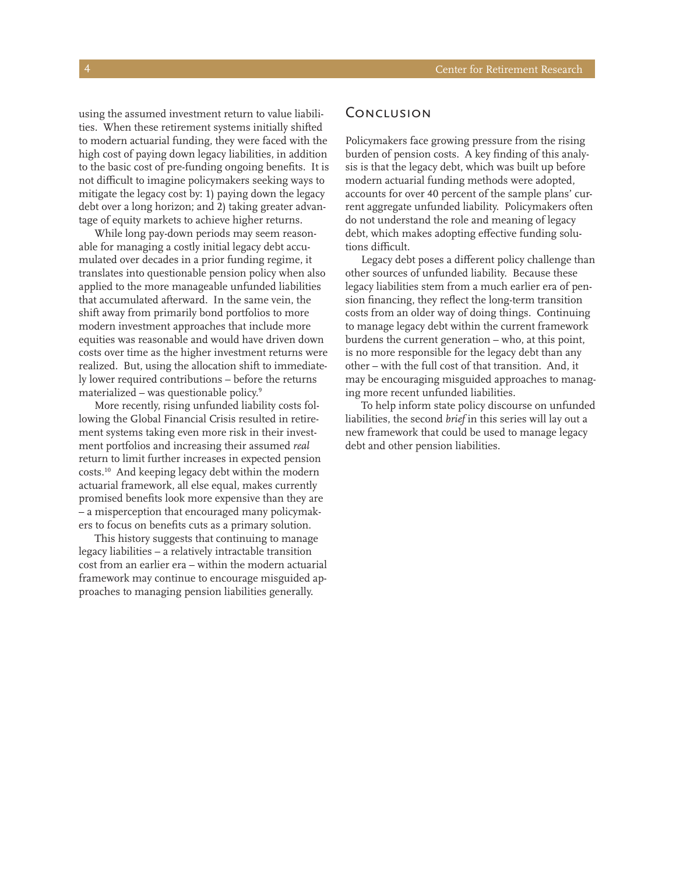using the assumed investment return to value liabilities. When these retirement systems initially shifted to modern actuarial funding, they were faced with the high cost of paying down legacy liabilities, in addition to the basic cost of pre-funding ongoing benefits. It is not difficult to imagine policymakers seeking ways to mitigate the legacy cost by: 1) paying down the legacy debt over a long horizon; and 2) taking greater advantage of equity markets to achieve higher returns.

While long pay-down periods may seem reasonable for managing a costly initial legacy debt accumulated over decades in a prior funding regime, it translates into questionable pension policy when also applied to the more manageable unfunded liabilities that accumulated afterward. In the same vein, the shift away from primarily bond portfolios to more modern investment approaches that include more equities was reasonable and would have driven down costs over time as the higher investment returns were realized. But, using the allocation shift to immediately lower required contributions – before the returns materialized – was questionable policy.9

More recently, rising unfunded liability costs following the Global Financial Crisis resulted in retirement systems taking even more risk in their investment portfolios and increasing their assumed *real* return to limit further increases in expected pension costs.10 And keeping legacy debt within the modern actuarial framework, all else equal, makes currently promised benefits look more expensive than they are – a misperception that encouraged many policymakers to focus on benefits cuts as a primary solution.

This history suggests that continuing to manage legacy liabilities – a relatively intractable transition cost from an earlier era – within the modern actuarial framework may continue to encourage misguided approaches to managing pension liabilities generally.

#### **CONCLUSION**

Policymakers face growing pressure from the rising burden of pension costs. A key finding of this analysis is that the legacy debt, which was built up before modern actuarial funding methods were adopted, accounts for over 40 percent of the sample plans' current aggregate unfunded liability. Policymakers often do not understand the role and meaning of legacy debt, which makes adopting effective funding solutions difficult.

Legacy debt poses a different policy challenge than other sources of unfunded liability. Because these legacy liabilities stem from a much earlier era of pension financing, they reflect the long-term transition costs from an older way of doing things. Continuing to manage legacy debt within the current framework burdens the current generation – who, at this point, is no more responsible for the legacy debt than any other – with the full cost of that transition. And, it may be encouraging misguided approaches to managing more recent unfunded liabilities.

To help inform state policy discourse on unfunded liabilities, the second *brief* in this series will lay out a new framework that could be used to manage legacy debt and other pension liabilities.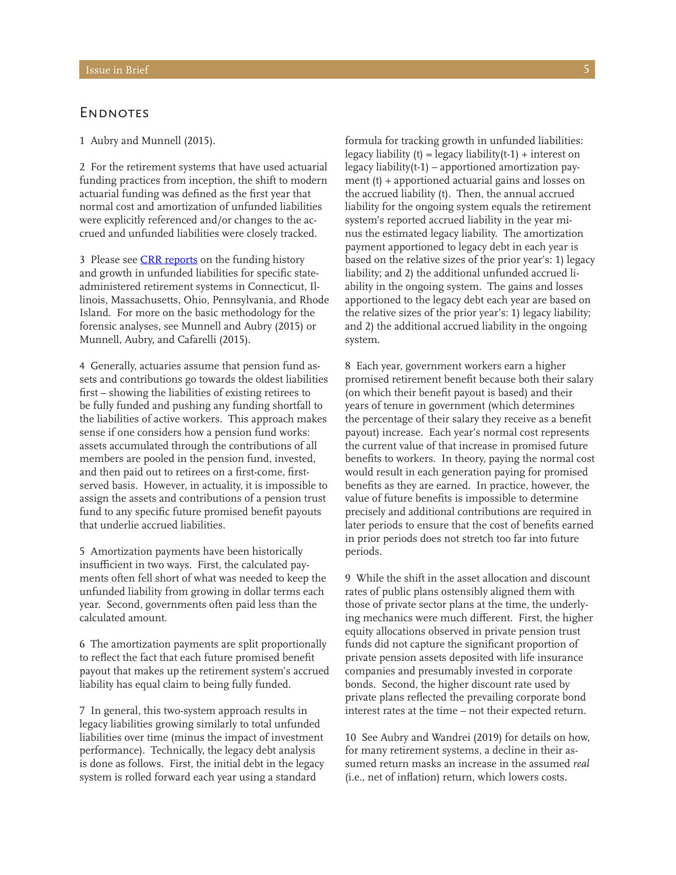#### **ENDNOTES**

1 Aubry and Munnell (2015).

2 For the retirement systems that have used actuarial funding practices from inception, the shift to modern actuarial funding was defined as the first year that normal cost and amortization of unfunded liabilities were explicitly referenced and/or changes to the accrued and unfunded liabilities were closely tracked.

3 Please see [CRR reports](https://crr.bc.edu/special-projects/special-reports/crr-special-series-on-legacy-pension-debt/) on the funding history and growth in unfunded liabilities for specific stateadministered retirement systems in Connecticut, Illinois, Massachusetts, Ohio, Pennsylvania, and Rhode Island. For more on the basic methodology for the forensic analyses, see Munnell and Aubry (2015) or Munnell, Aubry, and Cafarelli (2015).

4 Generally, actuaries assume that pension fund assets and contributions go towards the oldest liabilities first – showing the liabilities of existing retirees to be fully funded and pushing any funding shortfall to the liabilities of active workers. This approach makes sense if one considers how a pension fund works: assets accumulated through the contributions of all members are pooled in the pension fund, invested, and then paid out to retirees on a first-come, firstserved basis. However, in actuality, it is impossible to assign the assets and contributions of a pension trust fund to any specific future promised benefit payouts that underlie accrued liabilities.

5 Amortization payments have been historically insufficient in two ways. First, the calculated payments often fell short of what was needed to keep the unfunded liability from growing in dollar terms each year. Second, governments often paid less than the calculated amount.

6 The amortization payments are split proportionally to reflect the fact that each future promised benefit payout that makes up the retirement system's accrued liability has equal claim to being fully funded.

7 In general, this two-system approach results in legacy liabilities growing similarly to total unfunded liabilities over time (minus the impact of investment performance). Technically, the legacy debt analysis is done as follows. First, the initial debt in the legacy system is rolled forward each year using a standard

formula for tracking growth in unfunded liabilities: legacy liability (t) = legacy liability(t-1) + interest on legacy liability(t-1) – apportioned amortization payment (t) + apportioned actuarial gains and losses on the accrued liability (t). Then, the annual accrued liability for the ongoing system equals the retirement system's reported accrued liability in the year minus the estimated legacy liability. The amortization payment apportioned to legacy debt in each year is based on the relative sizes of the prior year's: 1) legacy liability; and 2) the additional unfunded accrued liability in the ongoing system. The gains and losses apportioned to the legacy debt each year are based on the relative sizes of the prior year's: 1) legacy liability; and 2) the additional accrued liability in the ongoing system.

8 Each year, government workers earn a higher promised retirement benefit because both their salary (on which their benefit payout is based) and their years of tenure in government (which determines the percentage of their salary they receive as a benefit payout) increase. Each year's normal cost represents the current value of that increase in promised future benefits to workers. In theory, paying the normal cost would result in each generation paying for promised benefits as they are earned. In practice, however, the value of future benefits is impossible to determine precisely and additional contributions are required in later periods to ensure that the cost of benefits earned in prior periods does not stretch too far into future periods.

9 While the shift in the asset allocation and discount rates of public plans ostensibly aligned them with those of private sector plans at the time, the underlying mechanics were much different. First, the higher equity allocations observed in private pension trust funds did not capture the significant proportion of private pension assets deposited with life insurance companies and presumably invested in corporate bonds. Second, the higher discount rate used by private plans reflected the prevailing corporate bond interest rates at the time – not their expected return.

10 See Aubry and Wandrei (2019) for details on how, for many retirement systems, a decline in their assumed return masks an increase in the assumed *real* (i.e., net of inflation) return, which lowers costs.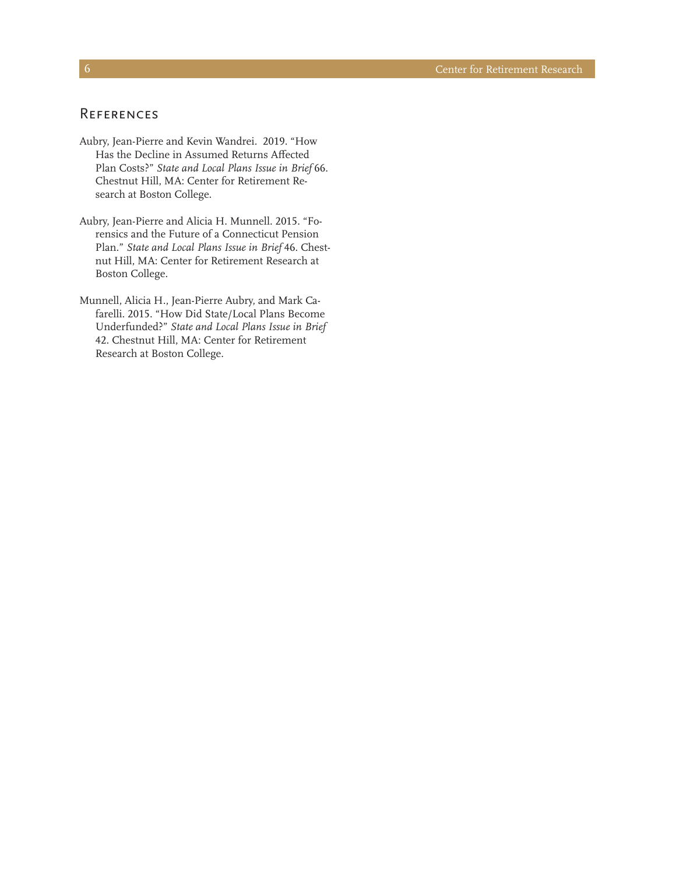#### **REFERENCES**

- Aubry, Jean-Pierre and Kevin Wandrei. 2019. "How Has the Decline in Assumed Returns Affected Plan Costs?" *State and Local Plans Issue in Brief* 66. Chestnut Hill, MA: Center for Retirement Research at Boston College.
- Aubry, Jean-Pierre and Alicia H. Munnell. 2015. "Forensics and the Future of a Connecticut Pension Plan." *State and Local Plans Issue in Brief* 46. Chestnut Hill, MA: Center for Retirement Research at Boston College.
- Munnell, Alicia H., Jean-Pierre Aubry, and Mark Cafarelli. 2015. "How Did State/Local Plans Become Underfunded?" *State and Local Plans Issue in Brief*  42. Chestnut Hill, MA: Center for Retirement Research at Boston College.